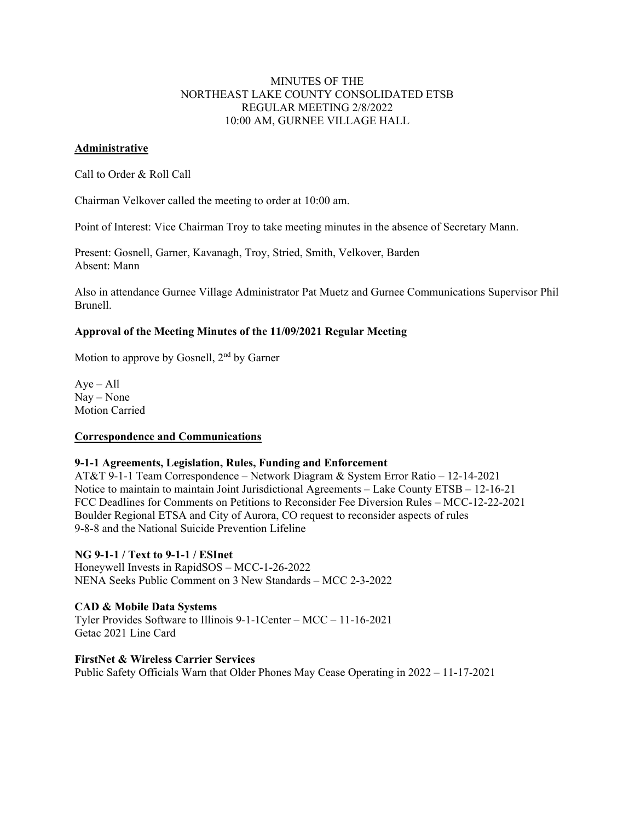# MINUTES OF THE NORTHEAST LAKE COUNTY CONSOLIDATED ETSB REGULAR MEETING 2/8/2022 10:00 AM, GURNEE VILLAGE HALL

### **Administrative**

Call to Order & Roll Call

Chairman Velkover called the meeting to order at 10:00 am.

Point of Interest: Vice Chairman Troy to take meeting minutes in the absence of Secretary Mann.

Present: Gosnell, Garner, Kavanagh, Troy, Stried, Smith, Velkover, Barden Absent: Mann

Also in attendance Gurnee Village Administrator Pat Muetz and Gurnee Communications Supervisor Phil Brunell.

# **Approval of the Meeting Minutes of the 11/09/2021 Regular Meeting**

Motion to approve by Gosnell,  $2<sup>nd</sup>$  by Garner

 $Aye - All$ Nay – None Motion Carried

### **Correspondence and Communications**

### **9-1-1 Agreements, Legislation, Rules, Funding and Enforcement**

AT&T 9-1-1 Team Correspondence – Network Diagram & System Error Ratio – 12-14-2021 Notice to maintain to maintain Joint Jurisdictional Agreements – Lake County ETSB – 12-16-21 FCC Deadlines for Comments on Petitions to Reconsider Fee Diversion Rules – MCC-12-22-2021 Boulder Regional ETSA and City of Aurora, CO request to reconsider aspects of rules 9-8-8 and the National Suicide Prevention Lifeline

# **NG 9-1-1 / Text to 9-1-1 / ESInet**

Honeywell Invests in RapidSOS – MCC-1-26-2022 NENA Seeks Public Comment on 3 New Standards – MCC 2-3-2022

# **CAD & Mobile Data Systems**

Tyler Provides Software to Illinois 9-1-1Center – MCC – 11-16-2021 Getac 2021 Line Card

### **FirstNet & Wireless Carrier Services**

Public Safety Officials Warn that Older Phones May Cease Operating in 2022 – 11-17-2021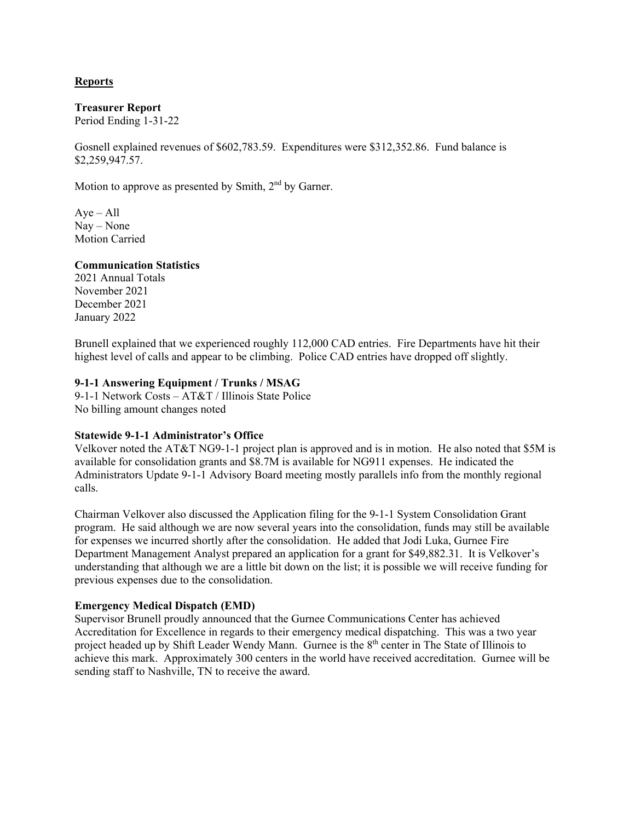# **Reports**

### **Treasurer Report**

Period Ending 1-31-22

Gosnell explained revenues of \$602,783.59. Expenditures were \$312,352.86. Fund balance is \$2,259,947.57.

Motion to approve as presented by Smith,  $2<sup>nd</sup>$  by Garner.

 $Aye - All$ Nay – None Motion Carried

### **Communication Statistics**

2021 Annual Totals November 2021 December 2021 January 2022

Brunell explained that we experienced roughly 112,000 CAD entries. Fire Departments have hit their highest level of calls and appear to be climbing. Police CAD entries have dropped off slightly.

# **9-1-1 Answering Equipment / Trunks / MSAG**

9-1-1 Network Costs – AT&T / Illinois State Police No billing amount changes noted

### **Statewide 9-1-1 Administrator's Office**

Velkover noted the AT&T NG9-1-1 project plan is approved and is in motion. He also noted that \$5M is available for consolidation grants and \$8.7M is available for NG911 expenses. He indicated the Administrators Update 9-1-1 Advisory Board meeting mostly parallels info from the monthly regional calls.

Chairman Velkover also discussed the Application filing for the 9-1-1 System Consolidation Grant program. He said although we are now several years into the consolidation, funds may still be available for expenses we incurred shortly after the consolidation. He added that Jodi Luka, Gurnee Fire Department Management Analyst prepared an application for a grant for \$49,882.31. It is Velkover's understanding that although we are a little bit down on the list; it is possible we will receive funding for previous expenses due to the consolidation.

### **Emergency Medical Dispatch (EMD)**

Supervisor Brunell proudly announced that the Gurnee Communications Center has achieved Accreditation for Excellence in regards to their emergency medical dispatching. This was a two year project headed up by Shift Leader Wendy Mann. Gurnee is the 8<sup>th</sup> center in The State of Illinois to achieve this mark. Approximately 300 centers in the world have received accreditation. Gurnee will be sending staff to Nashville, TN to receive the award.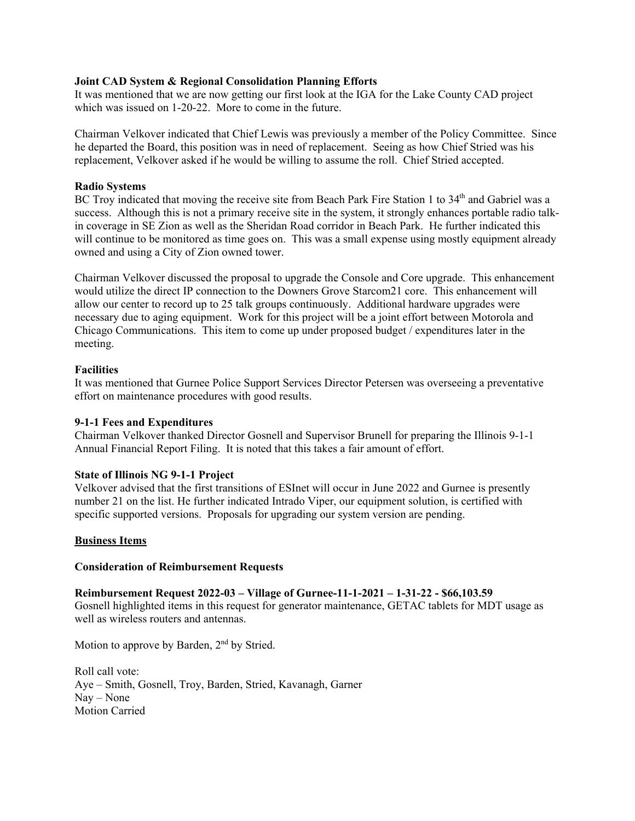## **Joint CAD System & Regional Consolidation Planning Efforts**

It was mentioned that we are now getting our first look at the IGA for the Lake County CAD project which was issued on 1-20-22. More to come in the future.

Chairman Velkover indicated that Chief Lewis was previously a member of the Policy Committee. Since he departed the Board, this position was in need of replacement. Seeing as how Chief Stried was his replacement, Velkover asked if he would be willing to assume the roll. Chief Stried accepted.

### **Radio Systems**

BC Troy indicated that moving the receive site from Beach Park Fire Station 1 to 34<sup>th</sup> and Gabriel was a success. Although this is not a primary receive site in the system, it strongly enhances portable radio talkin coverage in SE Zion as well as the Sheridan Road corridor in Beach Park. He further indicated this will continue to be monitored as time goes on. This was a small expense using mostly equipment already owned and using a City of Zion owned tower.

Chairman Velkover discussed the proposal to upgrade the Console and Core upgrade. This enhancement would utilize the direct IP connection to the Downers Grove Starcom21 core. This enhancement will allow our center to record up to 25 talk groups continuously. Additional hardware upgrades were necessary due to aging equipment. Work for this project will be a joint effort between Motorola and Chicago Communications. This item to come up under proposed budget / expenditures later in the meeting.

### **Facilities**

It was mentioned that Gurnee Police Support Services Director Petersen was overseeing a preventative effort on maintenance procedures with good results.

### **9-1-1 Fees and Expenditures**

Chairman Velkover thanked Director Gosnell and Supervisor Brunell for preparing the Illinois 9-1-1 Annual Financial Report Filing. It is noted that this takes a fair amount of effort.

### **State of Illinois NG 9-1-1 Project**

Velkover advised that the first transitions of ESInet will occur in June 2022 and Gurnee is presently number 21 on the list. He further indicated Intrado Viper, our equipment solution, is certified with specific supported versions. Proposals for upgrading our system version are pending.

### **Business Items**

### **Consideration of Reimbursement Requests**

# **Reimbursement Request 2022-03 – Village of Gurnee-11-1-2021 – 1-31-22 - \$66,103.59**

Gosnell highlighted items in this request for generator maintenance, GETAC tablets for MDT usage as well as wireless routers and antennas.

Motion to approve by Barden, 2<sup>nd</sup> by Stried.

Roll call vote: Aye – Smith, Gosnell, Troy, Barden, Stried, Kavanagh, Garner Nay – None Motion Carried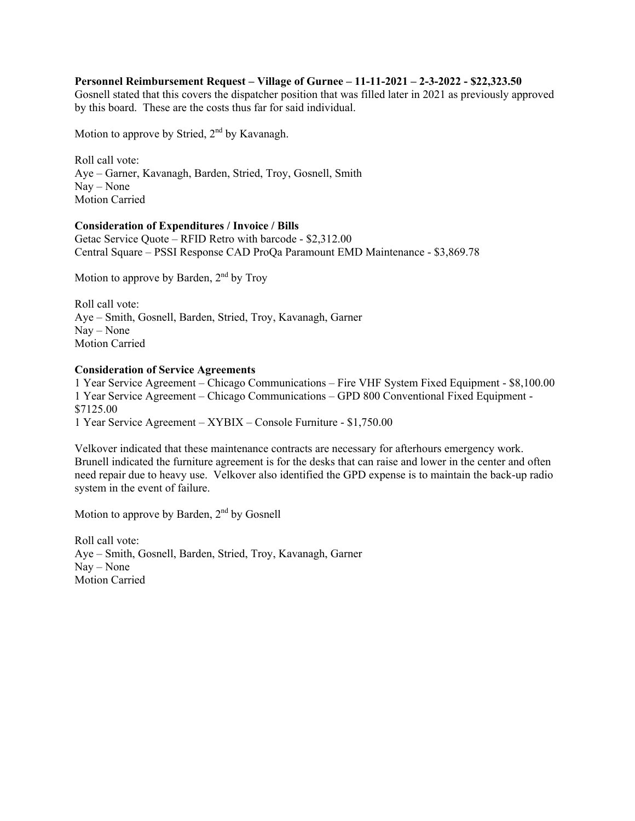# **Personnel Reimbursement Request – Village of Gurnee – 11-11-2021 – 2-3-2022 - \$22,323.50**

Gosnell stated that this covers the dispatcher position that was filled later in 2021 as previously approved by this board. These are the costs thus far for said individual.

Motion to approve by Stried, 2<sup>nd</sup> by Kavanagh.

Roll call vote: Aye – Garner, Kavanagh, Barden, Stried, Troy, Gosnell, Smith Nay – None Motion Carried

### **Consideration of Expenditures / Invoice / Bills**

Getac Service Quote – RFID Retro with barcode - \$2,312.00 Central Square – PSSI Response CAD ProQa Paramount EMD Maintenance - \$3,869.78

Motion to approve by Barden, 2<sup>nd</sup> by Troy

Roll call vote: Aye – Smith, Gosnell, Barden, Stried, Troy, Kavanagh, Garner Nay – None Motion Carried

# **Consideration of Service Agreements**

1 Year Service Agreement – Chicago Communications – Fire VHF System Fixed Equipment - \$8,100.00 1 Year Service Agreement – Chicago Communications – GPD 800 Conventional Fixed Equipment - \$7125.00 1 Year Service Agreement – XYBIX – Console Furniture - \$1,750.00

Velkover indicated that these maintenance contracts are necessary for afterhours emergency work. Brunell indicated the furniture agreement is for the desks that can raise and lower in the center and often need repair due to heavy use. Velkover also identified the GPD expense is to maintain the back-up radio system in the event of failure.

Motion to approve by Barden, 2<sup>nd</sup> by Gosnell

Roll call vote: Aye – Smith, Gosnell, Barden, Stried, Troy, Kavanagh, Garner Nay – None Motion Carried